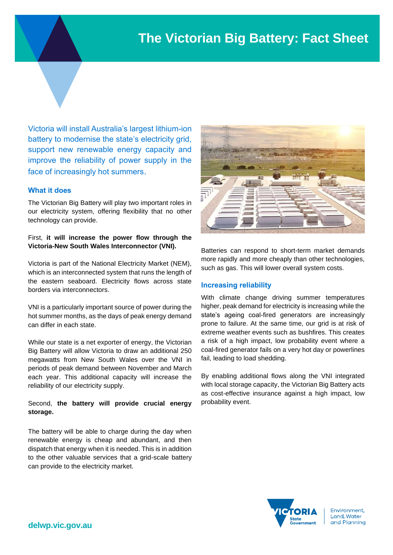# **The Victorian Big Battery: Fact Sheet**

Victoria will install Australia's largest lithium-ion battery to modernise the state's electricity grid, support new renewable energy capacity and improve the reliability of power supply in the face of increasingly hot summers.

#### **What it does**

The Victorian Big Battery will play two important roles in our electricity system, offering flexibility that no other technology can provide.

First, **it will increase the power flow through the Victoria-New South Wales Interconnector (VNI).**

Victoria is part of the National Electricity Market (NEM), which is an interconnected system that runs the length of the eastern seaboard. Electricity flows across state borders via interconnectors.

VNI is a particularly important source of power during the hot summer months, as the days of peak energy demand can differ in each state.

While our state is a net exporter of energy, the Victorian Big Battery will allow Victoria to draw an additional 250 megawatts from New South Wales over the VNI in periods of peak demand between November and March each year. This additional capacity will increase the reliability of our electricity supply.

## Second, **the battery will provide crucial energy storage.**

The battery will be able to charge during the day when renewable energy is cheap and abundant, and then dispatch that energy when it is needed. This is in addition to the other valuable services that a grid-scale battery can provide to the electricity market.



Batteries can respond to short-term market demands more rapidly and more cheaply than other technologies, such as gas. This will lower overall system costs.

#### **Increasing reliability**

With climate change driving summer temperatures higher, peak demand for electricity is increasing while the state's ageing coal-fired generators are increasingly prone to failure. At the same time, our grid is at risk of extreme weather events such as bushfires. This creates a risk of a high impact, low probability event where a coal-fired generator fails on a very hot day or powerlines fail, leading to load shedding.

By enabling additional flows along the VNI integrated with local storage capacity, the Victorian Big Battery acts as cost-effective insurance against a high impact, low probability event.



Environment, Land, Water and Planning